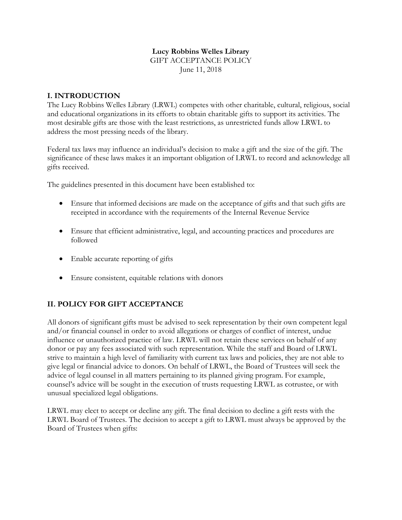# **Lucy Robbins Welles Library** GIFT ACCEPTANCE POLICY

June 11, 2018

# **I. INTRODUCTION**

The Lucy Robbins Welles Library (LRWL) competes with other charitable, cultural, religious, social and educational organizations in its efforts to obtain charitable gifts to support its activities. The most desirable gifts are those with the least restrictions, as unrestricted funds allow LRWL to address the most pressing needs of the library.

Federal tax laws may influence an individual's decision to make a gift and the size of the gift. The significance of these laws makes it an important obligation of LRWL to record and acknowledge all gifts received.

The guidelines presented in this document have been established to:

- Ensure that informed decisions are made on the acceptance of gifts and that such gifts are receipted in accordance with the requirements of the Internal Revenue Service
- Ensure that efficient administrative, legal, and accounting practices and procedures are followed
- Enable accurate reporting of gifts
- Ensure consistent, equitable relations with donors

# **II. POLICY FOR GIFT ACCEPTANCE**

All donors of significant gifts must be advised to seek representation by their own competent legal and/or financial counsel in order to avoid allegations or charges of conflict of interest, undue influence or unauthorized practice of law. LRWL will not retain these services on behalf of any donor or pay any fees associated with such representation. While the staff and Board of LRWL strive to maintain a high level of familiarity with current tax laws and policies, they are not able to give legal or financial advice to donors. On behalf of LRWL, the Board of Trustees will seek the advice of legal counsel in all matters pertaining to its planned giving program. For example, counsel's advice will be sought in the execution of trusts requesting LRWL as cotrustee, or with unusual specialized legal obligations.

LRWL may elect to accept or decline any gift. The final decision to decline a gift rests with the LRWL Board of Trustees. The decision to accept a gift to LRWL must always be approved by the Board of Trustees when gifts: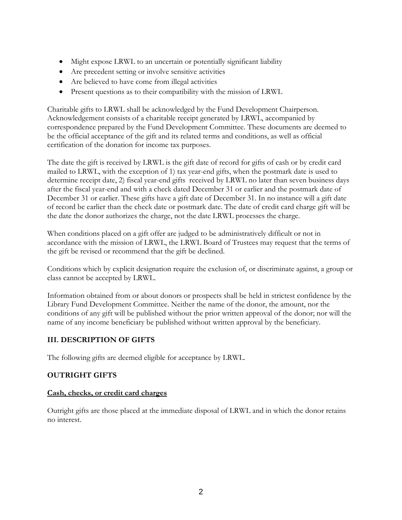- Might expose LRWL to an uncertain or potentially significant liability
- Are precedent setting or involve sensitive activities
- Are believed to have come from illegal activities
- Present questions as to their compatibility with the mission of LRWL

Charitable gifts to LRWL shall be acknowledged by the Fund Development Chairperson. Acknowledgement consists of a charitable receipt generated by LRWL, accompanied by correspondence prepared by the Fund Development Committee. These documents are deemed to be the official acceptance of the gift and its related terms and conditions, as well as official certification of the donation for income tax purposes.

The date the gift is received by LRWL is the gift date of record for gifts of cash or by credit card mailed to LRWL, with the exception of 1) tax year-end gifts, when the postmark date is used to determine receipt date, 2) fiscal year-end gifts received by LRWL no later than seven business days after the fiscal year-end and with a check dated December 31 or earlier and the postmark date of December 31 or earlier. These gifts have a gift date of December 31. In no instance will a gift date of record be earlier than the check date or postmark date. The date of credit card charge gift will be the date the donor authorizes the charge, not the date LRWL processes the charge.

When conditions placed on a gift offer are judged to be administratively difficult or not in accordance with the mission of LRWL, the LRWL Board of Trustees may request that the terms of the gift be revised or recommend that the gift be declined.

Conditions which by explicit designation require the exclusion of, or discriminate against, a group or class cannot be accepted by LRWL.

Information obtained from or about donors or prospects shall be held in strictest confidence by the Library Fund Development Committee. Neither the name of the donor, the amount, nor the conditions of any gift will be published without the prior written approval of the donor; nor will the name of any income beneficiary be published without written approval by the beneficiary.

# **III. DESCRIPTION OF GIFTS**

The following gifts are deemed eligible for acceptance by LRWL.

# **OUTRIGHT GIFTS**

#### **Cash, checks, or credit card charges**

Outright gifts are those placed at the immediate disposal of LRWL and in which the donor retains no interest.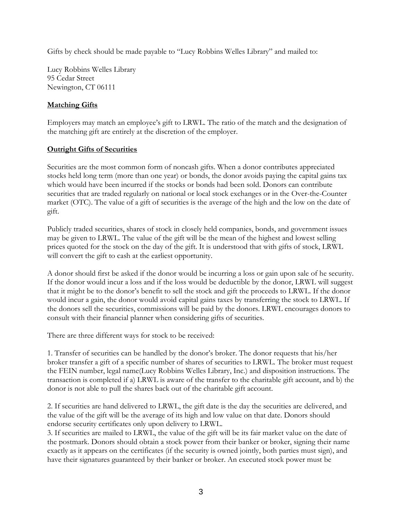Gifts by check should be made payable to "Lucy Robbins Welles Library" and mailed to:

Lucy Robbins Welles Library 95 Cedar Street Newington, CT 06111

# **Matching Gifts**

Employers may match an employee's gift to LRWL. The ratio of the match and the designation of the matching gift are entirely at the discretion of the employer.

# **Outright Gifts of Securities**

Securities are the most common form of noncash gifts. When a donor contributes appreciated stocks held long term (more than one year) or bonds, the donor avoids paying the capital gains tax which would have been incurred if the stocks or bonds had been sold. Donors can contribute securities that are traded regularly on national or local stock exchanges or in the Over-the-Counter market (OTC). The value of a gift of securities is the average of the high and the low on the date of gift.

Publicly traded securities, shares of stock in closely held companies, bonds, and government issues may be given to LRWL. The value of the gift will be the mean of the highest and lowest selling prices quoted for the stock on the day of the gift. It is understood that with gifts of stock, LRWL will convert the gift to cash at the earliest opportunity.

A donor should first be asked if the donor would be incurring a loss or gain upon sale of he security. If the donor would incur a loss and if the loss would be deductible by the donor, LRWL will suggest that it might be to the donor's benefit to sell the stock and gift the proceeds to LRWL. If the donor would incur a gain, the donor would avoid capital gains taxes by transferring the stock to LRWL. If the donors sell the securities, commissions will be paid by the donors. LRWL encourages donors to consult with their financial planner when considering gifts of securities.

There are three different ways for stock to be received:

1. Transfer of securities can be handled by the donor's broker. The donor requests that his/her broker transfer a gift of a specific number of shares of securities to LRWL. The broker must request the FEIN number, legal name(Lucy Robbins Welles Library, Inc.) and disposition instructions. The transaction is completed if a) LRWL is aware of the transfer to the charitable gift account, and b) the donor is not able to pull the shares back out of the charitable gift account.

2. If securities are hand delivered to LRWL, the gift date is the day the securities are delivered, and the value of the gift will be the average of its high and low value on that date. Donors should endorse security certificates only upon delivery to LRWL.

3. If securities are mailed to LRWL, the value of the gift will be its fair market value on the date of the postmark. Donors should obtain a stock power from their banker or broker, signing their name exactly as it appears on the certificates (if the security is owned jointly, both parties must sign), and have their signatures guaranteed by their banker or broker. An executed stock power must be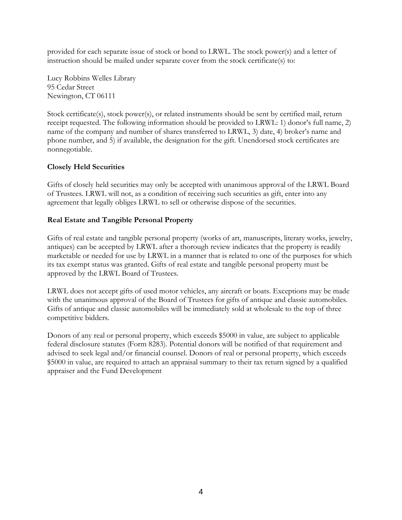provided for each separate issue of stock or bond to LRWL. The stock power(s) and a letter of instruction should be mailed under separate cover from the stock certificate(s) to:

Lucy Robbins Welles Library 95 Cedar Street Newington, CT 06111

Stock certificate(s), stock power(s), or related instruments should be sent by certified mail, return receipt requested. The following information should be provided to LRWL: 1) donor's full name, 2) name of the company and number of shares transferred to LRWL, 3) date, 4) broker's name and phone number, and 5) if available, the designation for the gift. Unendorsed stock certificates are nonnegotiable.

### **Closely Held Securities**

Gifts of closely held securities may only be accepted with unanimous approval of the LRWL Board of Trustees. LRWL will not, as a condition of receiving such securities as gift, enter into any agreement that legally obliges LRWL to sell or otherwise dispose of the securities.

# **Real Estate and Tangible Personal Property**

Gifts of real estate and tangible personal property (works of art, manuscripts, literary works, jewelry, antiques) can be accepted by LRWL after a thorough review indicates that the property is readily marketable or needed for use by LRWL in a manner that is related to one of the purposes for which its tax exempt status was granted. Gifts of real estate and tangible personal property must be approved by the LRWL Board of Trustees.

LRWL does not accept gifts of used motor vehicles, any aircraft or boats. Exceptions may be made with the unanimous approval of the Board of Trustees for gifts of antique and classic automobiles. Gifts of antique and classic automobiles will be immediately sold at wholesale to the top of three competitive bidders.

Donors of any real or personal property, which exceeds \$5000 in value, are subject to applicable federal disclosure statutes (Form 8283). Potential donors will be notified of that requirement and advised to seek legal and/or financial counsel. Donors of real or personal property, which exceeds \$5000 in value, are required to attach an appraisal summary to their tax return signed by a qualified appraiser and the Fund Development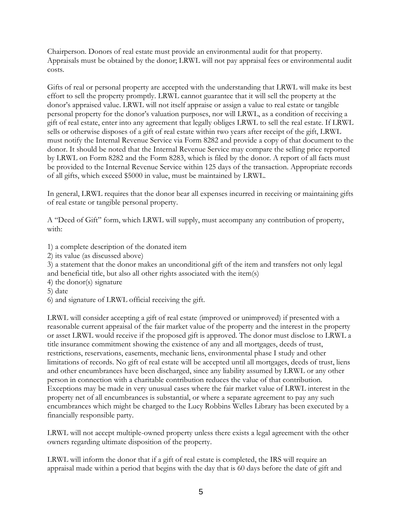Chairperson. Donors of real estate must provide an environmental audit for that property. Appraisals must be obtained by the donor; LRWL will not pay appraisal fees or environmental audit costs.

Gifts of real or personal property are accepted with the understanding that LRWL will make its best effort to sell the property promptly. LRWL cannot guarantee that it will sell the property at the donor's appraised value. LRWL will not itself appraise or assign a value to real estate or tangible personal property for the donor's valuation purposes, nor will LRWL, as a condition of receiving a gift of real estate, enter into any agreement that legally obliges LRWL to sell the real estate. If LRWL sells or otherwise disposes of a gift of real estate within two years after receipt of the gift, LRWL must notify the Internal Revenue Service via Form 8282 and provide a copy of that document to the donor. It should be noted that the Internal Revenue Service may compare the selling price reported by LRWL on Form 8282 and the Form 8283, which is filed by the donor. A report of all facts must be provided to the Internal Revenue Service within 125 days of the transaction. Appropriate records of all gifts, which exceed \$5000 in value, must be maintained by LRWL.

In general, LRWL requires that the donor bear all expenses incurred in receiving or maintaining gifts of real estate or tangible personal property.

A "Deed of Gift" form, which LRWL will supply, must accompany any contribution of property, with:

- 1) a complete description of the donated item
- 2) its value (as discussed above)

3) a statement that the donor makes an unconditional gift of the item and transfers not only legal and beneficial title, but also all other rights associated with the item(s)

- 4) the donor(s) signature
- 5) date
- 6) and signature of LRWL official receiving the gift.

LRWL will consider accepting a gift of real estate (improved or unimproved) if presented with a reasonable current appraisal of the fair market value of the property and the interest in the property or asset LRWL would receive if the proposed gift is approved. The donor must disclose to LRWL a title insurance commitment showing the existence of any and all mortgages, deeds of trust, restrictions, reservations, easements, mechanic liens, environmental phase I study and other limitations of records. No gift of real estate will be accepted until all mortgages, deeds of trust, liens and other encumbrances have been discharged, since any liability assumed by LRWL or any other person in connection with a charitable contribution reduces the value of that contribution. Exceptions may be made in very unusual cases where the fair market value of LRWL interest in the property net of all encumbrances is substantial, or where a separate agreement to pay any such encumbrances which might be charged to the Lucy Robbins Welles Library has been executed by a financially responsible party.

LRWL will not accept multiple-owned property unless there exists a legal agreement with the other owners regarding ultimate disposition of the property.

LRWL will inform the donor that if a gift of real estate is completed, the IRS will require an appraisal made within a period that begins with the day that is 60 days before the date of gift and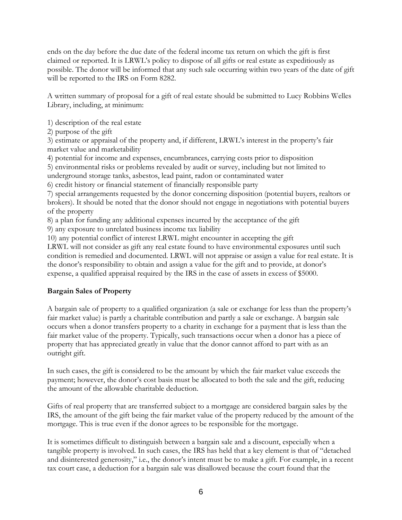ends on the day before the due date of the federal income tax return on which the gift is first claimed or reported. It is LRWL's policy to dispose of all gifts or real estate as expeditiously as possible. The donor will be informed that any such sale occurring within two years of the date of gift will be reported to the IRS on Form 8282.

A written summary of proposal for a gift of real estate should be submitted to Lucy Robbins Welles Library, including, at minimum:

1) description of the real estate

2) purpose of the gift

3) estimate or appraisal of the property and, if different, LRWL's interest in the property's fair market value and marketability

4) potential for income and expenses, encumbrances, carrying costs prior to disposition

5) environmental risks or problems revealed by audit or survey, including but not limited to underground storage tanks, asbestos, lead paint, radon or contaminated water

6) credit history or financial statement of financially responsible party

7) special arrangements requested by the donor concerning disposition (potential buyers, realtors or brokers). It should be noted that the donor should not engage in negotiations with potential buyers of the property

8) a plan for funding any additional expenses incurred by the acceptance of the gift

9) any exposure to unrelated business income tax liability

10) any potential conflict of interest LRWL might encounter in accepting the gift

LRWL will not consider as gift any real estate found to have environmental exposures until such condition is remedied and documented. LRWL will not appraise or assign a value for real estate. It is the donor's responsibility to obtain and assign a value for the gift and to provide, at donor's expense, a qualified appraisal required by the IRS in the case of assets in excess of \$5000.

# **Bargain Sales of Property**

A bargain sale of property to a qualified organization (a sale or exchange for less than the property's fair market value) is partly a charitable contribution and partly a sale or exchange. A bargain sale occurs when a donor transfers property to a charity in exchange for a payment that is less than the fair market value of the property. Typically, such transactions occur when a donor has a piece of property that has appreciated greatly in value that the donor cannot afford to part with as an outright gift.

In such cases, the gift is considered to be the amount by which the fair market value exceeds the payment; however, the donor's cost basis must be allocated to both the sale and the gift, reducing the amount of the allowable charitable deduction.

Gifts of real property that are transferred subject to a mortgage are considered bargain sales by the IRS, the amount of the gift being the fair market value of the property reduced by the amount of the mortgage. This is true even if the donor agrees to be responsible for the mortgage.

It is sometimes difficult to distinguish between a bargain sale and a discount, especially when a tangible property is involved. In such cases, the IRS has held that a key element is that of "detached and disinterested generosity," i.e., the donor's intent must be to make a gift. For example, in a recent tax court case, a deduction for a bargain sale was disallowed because the court found that the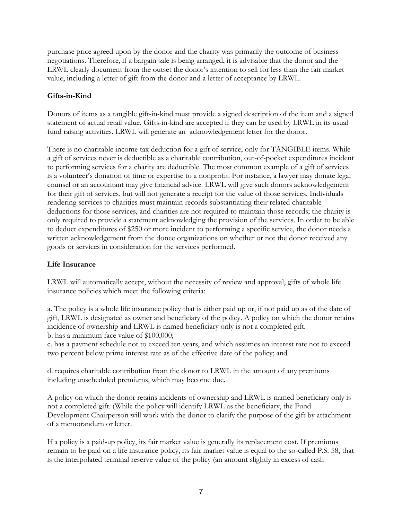purchase price agreed upon by the donor and the charity was primarily the outcome of business negotiations. Therefore, if a bargain sale is being arranged, it is advisable that the donor and the LRWL clearly document from the outset the donor's intention to sell for less than the fair market value, including a letter of gift from the donor and a letter of acceptance by LRWL.

# **Gifts-in-Kind**

Donors of items as a tangible gift-in-kind must provide a signed description of the item and a signed statement of actual retail value. Gifts-in-kind are accepted if they can be used by LRWL in its usual fund raising activities. LRWL will generate an acknowledgement letter for the donor.

There is no charitable income tax deduction for a gift of service, only for TANGIBLE items. While a gift of services never is deductible as a charitable contribution, out-of-pocket expenditures incident to performing services for a charity are deductible. The most common example of a gift of services is a volunteer's donation of time or expertise to a nonprofit. For instance, a lawyer may donate legal counsel or an accountant may give financial advice. LRWL will give such donors acknowledgement for their gift of services, but will not generate a receipt for the value of those services. Individuals rendering services to charities must maintain records substantiating their related charitable deductions for those services, and charities are not required to maintain those records; the charity is only required to provide a statement acknowledging the provision of the services. In order to be able to deduct expenditures of \$250 or more incident to performing a specific service, the donor needs a written acknowledgement from the donee organizations on whether or not the donor received any goods or services in consideration for the services performed.

#### **Life Insurance**

LRWL will automatically accept, without the necessity of review and approval, gifts of whole life insurance policies which meet the following criteria:

a. The policy is a whole life insurance policy that is either paid up or, if not paid up as of the date of gift, LRWL is designated as owner and beneficiary of the policy. A policy on which the donor retains incidence of ownership and LRWL is named beneficiary only is not a completed gift. b. has a minimum face value of \$100,000;

c. has a payment schedule not to exceed ten years, and which assumes an interest rate not to exceed two percent below prime interest rate as of the effective date of the policy; and

d. requires charitable contribution from the donor to LRWL in the amount of any premiums including unscheduled premiums, which may become due.

A policy on which the donor retains incidents of ownership and LRWL is named beneficiary only is not a completed gift. (While the policy will identify LRWL as the beneficiary, the Fund Development Chairperson will work with the donor to clarify the purpose of the gift by attachment of a memorandum or letter.

If a policy is a paid-up policy, its fair market value is generally its replacement cost. If premiums remain to be paid on a life insurance policy, its fair market value is equal to the so-called P.S. 58, that is the interpolated terminal reserve value of the policy (an amount slightly in excess of cash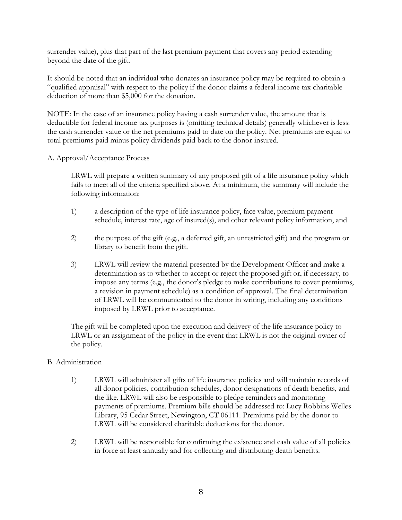surrender value), plus that part of the last premium payment that covers any period extending beyond the date of the gift.

It should be noted that an individual who donates an insurance policy may be required to obtain a "qualified appraisal" with respect to the policy if the donor claims a federal income tax charitable deduction of more than \$5,000 for the donation.

NOTE: In the case of an insurance policy having a cash surrender value, the amount that is deductible for federal income tax purposes is (omitting technical details) generally whichever is less: the cash surrender value or the net premiums paid to date on the policy. Net premiums are equal to total premiums paid minus policy dividends paid back to the donor-insured.

#### A. Approval/Acceptance Process

LRWL will prepare a written summary of any proposed gift of a life insurance policy which fails to meet all of the criteria specified above. At a minimum, the summary will include the following information:

- 1) a description of the type of life insurance policy, face value, premium payment schedule, interest rate, age of insured(s), and other relevant policy information, and
- 2) the purpose of the gift (e.g., a deferred gift, an unrestricted gift) and the program or library to benefit from the gift.
- 3) LRWL will review the material presented by the Development Officer and make a determination as to whether to accept or reject the proposed gift or, if necessary, to impose any terms (e.g., the donor's pledge to make contributions to cover premiums, a revision in payment schedule) as a condition of approval. The final determination of LRWL will be communicated to the donor in writing, including any conditions imposed by LRWL prior to acceptance.

The gift will be completed upon the execution and delivery of the life insurance policy to LRWL or an assignment of the policy in the event that LRWL is not the original owner of the policy.

#### B. Administration

- 1) LRWL will administer all gifts of life insurance policies and will maintain records of all donor policies, contribution schedules, donor designations of death benefits, and the like. LRWL will also be responsible to pledge reminders and monitoring payments of premiums. Premium bills should be addressed to: Lucy Robbins Welles Library, 95 Cedar Street, Newington, CT 06111. Premiums paid by the donor to LRWL will be considered charitable deductions for the donor.
- 2) LRWL will be responsible for confirming the existence and cash value of all policies in force at least annually and for collecting and distributing death benefits.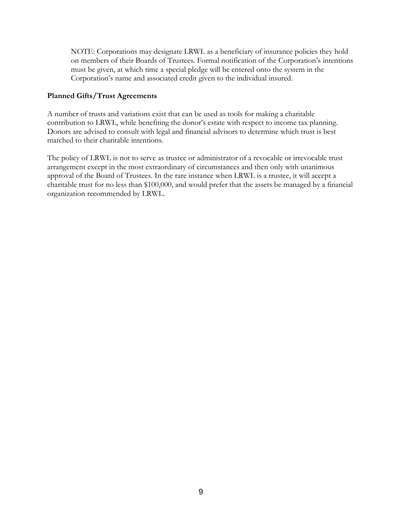NOTE: Corporations may designate LRWL as a beneficiary of insurance policies they hold on members of their Boards of Trustees. Formal notification of the Corporation's intentions must be given, at which time a special pledge will be entered onto the system in the Corporation's name and associated credit given to the individual insured.

#### **Planned Gifts/Trust Agreements**

A number of trusts and variations exist that can be used as tools for making a charitable contribution to LRWL, while benefiting the donor's estate with respect to income tax planning. Donors are advised to consult with legal and financial advisors to determine which trust is best matched to their charitable intentions.

The policy of LRWL is not to serve as trustee or administrator of a revocable or irrevocable trust arrangement except in the most extraordinary of circumstances and then only with unanimous approval of the Board of Trustees. In the rare instance when LRWL is a trustee, it will accept a charitable trust for no less than \$100,000, and would prefer that the assets be managed by a financial organization recommended by LRWL.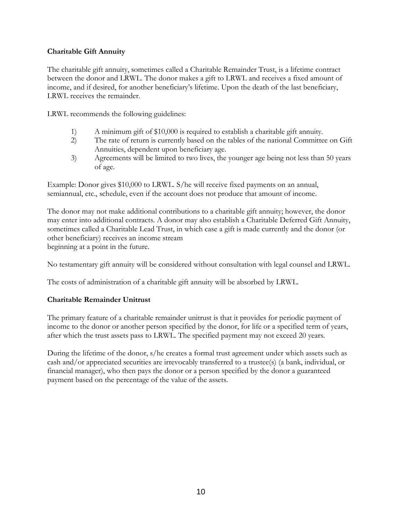### **Charitable Gift Annuity**

The charitable gift annuity, sometimes called a Charitable Remainder Trust, is a lifetime contract between the donor and LRWL. The donor makes a gift to LRWL and receives a fixed amount of income, and if desired, for another beneficiary's lifetime. Upon the death of the last beneficiary, LRWL receives the remainder.

LRWL recommends the following guidelines:

- 1) A minimum gift of \$10,000 is required to establish a charitable gift annuity.
- 2) The rate of return is currently based on the tables of the national Committee on Gift Annuities, dependent upon beneficiary age.
- 3) Agreements will be limited to two lives, the younger age being not less than 50 years of age.

Example: Donor gives \$10,000 to LRWL. S/he will receive fixed payments on an annual, semiannual, etc., schedule, even if the account does not produce that amount of income.

The donor may not make additional contributions to a charitable gift annuity; however, the donor may enter into additional contracts. A donor may also establish a Charitable Deferred Gift Annuity, sometimes called a Charitable Lead Trust, in which case a gift is made currently and the donor (or other beneficiary) receives an income stream beginning at a point in the future.

No testamentary gift annuity will be considered without consultation with legal counsel and LRWL.

The costs of administration of a charitable gift annuity will be absorbed by LRWL.

# **Charitable Remainder Unitrust**

The primary feature of a charitable remainder unitrust is that it provides for periodic payment of income to the donor or another person specified by the donor, for life or a specified term of years, after which the trust assets pass to LRWL. The specified payment may not exceed 20 years.

During the lifetime of the donor, s/he creates a formal trust agreement under which assets such as cash and/or appreciated securities are irrevocably transferred to a trustee(s) (a bank, individual, or financial manager), who then pays the donor or a person specified by the donor a guaranteed payment based on the percentage of the value of the assets.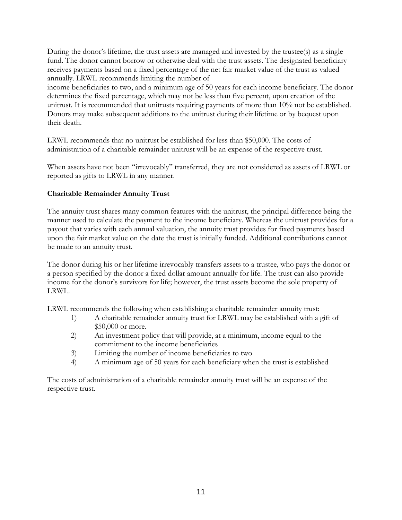During the donor's lifetime, the trust assets are managed and invested by the trustee(s) as a single fund. The donor cannot borrow or otherwise deal with the trust assets. The designated beneficiary receives payments based on a fixed percentage of the net fair market value of the trust as valued annually. LRWL recommends limiting the number of

income beneficiaries to two, and a minimum age of 50 years for each income beneficiary. The donor determines the fixed percentage, which may not be less than five percent, upon creation of the unitrust. It is recommended that unitrusts requiring payments of more than 10% not be established. Donors may make subsequent additions to the unitrust during their lifetime or by bequest upon their death.

LRWL recommends that no unitrust be established for less than \$50,000. The costs of administration of a charitable remainder unitrust will be an expense of the respective trust.

When assets have not been "irrevocably" transferred, they are not considered as assets of LRWL or reported as gifts to LRWL in any manner.

### **Charitable Remainder Annuity Trust**

The annuity trust shares many common features with the unitrust, the principal difference being the manner used to calculate the payment to the income beneficiary. Whereas the unitrust provides for a payout that varies with each annual valuation, the annuity trust provides for fixed payments based upon the fair market value on the date the trust is initially funded. Additional contributions cannot be made to an annuity trust.

The donor during his or her lifetime irrevocably transfers assets to a trustee, who pays the donor or a person specified by the donor a fixed dollar amount annually for life. The trust can also provide income for the donor's survivors for life; however, the trust assets become the sole property of LRWL.

LRWL recommends the following when establishing a charitable remainder annuity trust:

- 1) A charitable remainder annuity trust for LRWL may be established with a gift of \$50,000 or more.
- 2) An investment policy that will provide, at a minimum, income equal to the commitment to the income beneficiaries
- 3) Limiting the number of income beneficiaries to two
- 4) A minimum age of 50 years for each beneficiary when the trust is established

The costs of administration of a charitable remainder annuity trust will be an expense of the respective trust.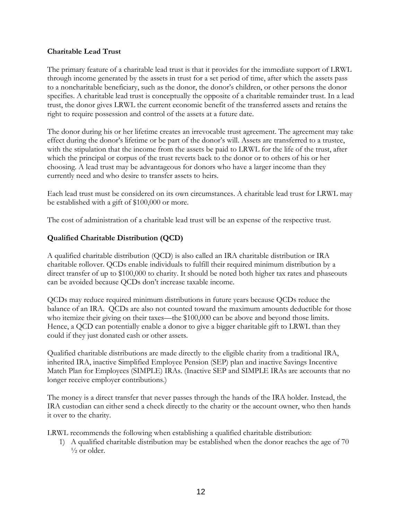#### **Charitable Lead Trust**

The primary feature of a charitable lead trust is that it provides for the immediate support of LRWL through income generated by the assets in trust for a set period of time, after which the assets pass to a noncharitable beneficiary, such as the donor, the donor's children, or other persons the donor specifies. A charitable lead trust is conceptually the opposite of a charitable remainder trust. In a lead trust, the donor gives LRWL the current economic benefit of the transferred assets and retains the right to require possession and control of the assets at a future date.

The donor during his or her lifetime creates an irrevocable trust agreement. The agreement may take effect during the donor's lifetime or be part of the donor's will. Assets are transferred to a trustee, with the stipulation that the income from the assets be paid to LRWL for the life of the trust, after which the principal or corpus of the trust reverts back to the donor or to others of his or her choosing. A lead trust may be advantageous for donors who have a larger income than they currently need and who desire to transfer assets to heirs.

Each lead trust must be considered on its own circumstances. A charitable lead trust for LRWL may be established with a gift of \$100,000 or more.

The cost of administration of a charitable lead trust will be an expense of the respective trust.

# **Qualified Charitable Distribution (QCD)**

A qualified charitable distribution (QCD) is also called an IRA charitable distribution or IRA charitable rollover. QCDs enable individuals to fulfill their required minimum distribution by a direct transfer of up to \$100,000 to charity. It should be noted both higher tax rates and phaseouts can be avoided because QCDs don't increase taxable income.

QCDs may reduce required minimum distributions in future years because QCDs reduce the balance of an IRA. QCDs are also not counted toward the maximum amounts deductible for those who itemize their giving on their taxes—the \$100,000 can be above and beyond those limits. Hence, a QCD can potentially enable a donor to give a bigger charitable gift to LRWL than they could if they just donated cash or other assets.

Qualified charitable distributions are made directly to the eligible charity from a traditional IRA, inherited IRA, inactive Simplified Employee Pension (SEP) plan and inactive Savings Incentive Match Plan for Employees (SIMPLE) IRAs. (Inactive SEP and SIMPLE IRAs are accounts that no longer receive employer contributions.)

The money is a direct transfer that never passes through the hands of the IRA holder. Instead, the IRA custodian can either send a check directly to the charity or the account owner, who then hands it over to the charity.

LRWL recommends the following when establishing a qualified charitable distribution:

1) A qualified charitable distribution may be established when the donor reaches the age of 70  $\frac{1}{2}$  or older.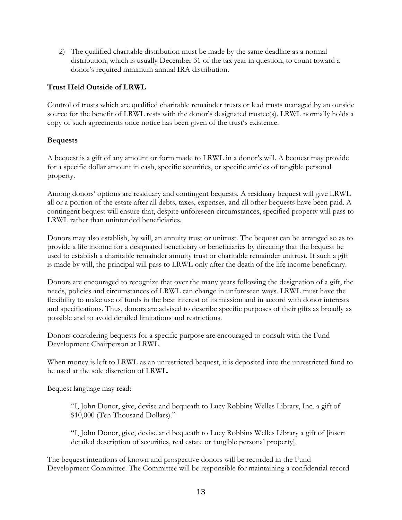2) The qualified charitable distribution must be made by the same deadline as a normal distribution, which is usually December 31 of the tax year in question, to count toward a donor's required minimum annual IRA distribution.

# **Trust Held Outside of LRWL**

Control of trusts which are qualified charitable remainder trusts or lead trusts managed by an outside source for the benefit of LRWL rests with the donor's designated trustee(s). LRWL normally holds a copy of such agreements once notice has been given of the trust's existence.

# **Bequests**

A bequest is a gift of any amount or form made to LRWL in a donor's will. A bequest may provide for a specific dollar amount in cash, specific securities, or specific articles of tangible personal property.

Among donors' options are residuary and contingent bequests. A residuary bequest will give LRWL all or a portion of the estate after all debts, taxes, expenses, and all other bequests have been paid. A contingent bequest will ensure that, despite unforeseen circumstances, specified property will pass to LRWL rather than unintended beneficiaries.

Donors may also establish, by will, an annuity trust or unitrust. The bequest can be arranged so as to provide a life income for a designated beneficiary or beneficiaries by directing that the bequest be used to establish a charitable remainder annuity trust or charitable remainder unitrust. If such a gift is made by will, the principal will pass to LRWL only after the death of the life income beneficiary.

Donors are encouraged to recognize that over the many years following the designation of a gift, the needs, policies and circumstances of LRWL can change in unforeseen ways. LRWL must have the flexibility to make use of funds in the best interest of its mission and in accord with donor interests and specifications. Thus, donors are advised to describe specific purposes of their gifts as broadly as possible and to avoid detailed limitations and restrictions.

Donors considering bequests for a specific purpose are encouraged to consult with the Fund Development Chairperson at LRWL.

When money is left to LRWL as an unrestricted bequest, it is deposited into the unrestricted fund to be used at the sole discretion of LRWL.

Bequest language may read:

"I, John Donor, give, devise and bequeath to Lucy Robbins Welles Library, Inc. a gift of \$10,000 (Ten Thousand Dollars)."

"I, John Donor, give, devise and bequeath to Lucy Robbins Welles Library a gift of [insert detailed description of securities, real estate or tangible personal property].

The bequest intentions of known and prospective donors will be recorded in the Fund Development Committee. The Committee will be responsible for maintaining a confidential record